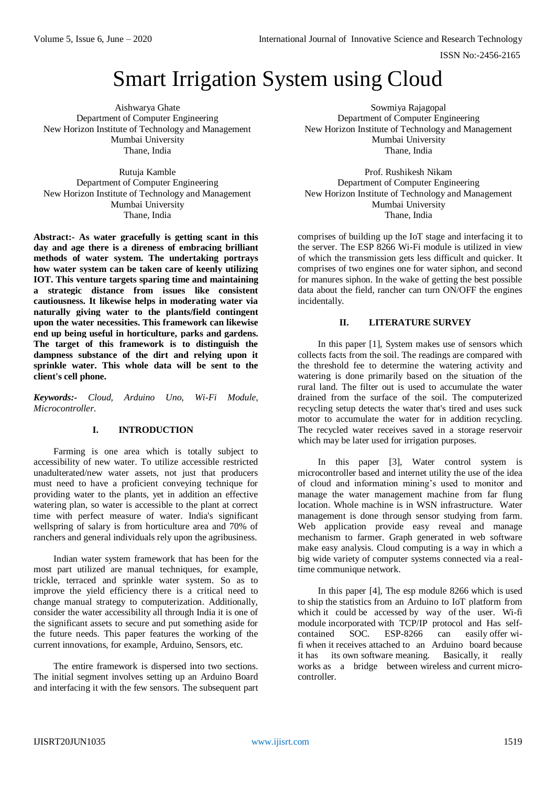# Smart Irrigation System using Cloud

Aishwarya Ghate Department of Computer Engineering New Horizon Institute of Technology and Management Mumbai University Thane, India

Rutuja Kamble Department of Computer Engineering New Horizon Institute of Technology and Management Mumbai University Thane, India

**Abstract:- As water gracefully is getting scant in this day and age there is a direness of embracing brilliant methods of water system. The undertaking portrays how water system can be taken care of keenly utilizing IOT. This venture targets sparing time and maintaining a strategic distance from issues like consistent cautiousness. It likewise helps in moderating water via naturally giving water to the plants/field contingent upon the water necessities. This framework can likewise end up being useful in horticulture, parks and gardens. The target of this framework is to distinguish the dampness substance of the dirt and relying upon it sprinkle water. This whole data will be sent to the client's cell phone.** 

*Keywords:- Cloud, Arduino Uno, Wi-Fi Module, Microcontroller.*

## **I. INTRODUCTION**

Farming is one area which is totally subject to accessibility of new water. To utilize accessible restricted unadulterated/new water assets, not just that producers must need to have a proficient conveying technique for providing water to the plants, yet in addition an effective watering plan, so water is accessible to the plant at correct time with perfect measure of water. India's significant wellspring of salary is from horticulture area and 70% of ranchers and general individuals rely upon the agribusiness.

Indian water system framework that has been for the most part utilized are manual techniques, for example, trickle, terraced and sprinkle water system. So as to improve the yield efficiency there is a critical need to change manual strategy to computerization. Additionally, consider the water accessibility all through India it is one of the significant assets to secure and put something aside for the future needs. This paper features the working of the current innovations, for example, Arduino, Sensors, etc.

The entire framework is dispersed into two sections. The initial segment involves setting up an Arduino Board and interfacing it with the few sensors. The subsequent part

Sowmiya Rajagopal Department of Computer Engineering New Horizon Institute of Technology and Management Mumbai University Thane, India

Prof. Rushikesh Nikam Department of Computer Engineering New Horizon Institute of Technology and Management Mumbai University Thane, India

comprises of building up the IoT stage and interfacing it to the server. The ESP 8266 Wi-Fi module is utilized in view of which the transmission gets less difficult and quicker. It comprises of two engines one for water siphon, and second for manures siphon. In the wake of getting the best possible data about the field, rancher can turn ON/OFF the engines incidentally.

## **II. LITERATURE SURVEY**

In this paper [1], System makes use of sensors which collects facts from the soil. The readings are compared with the threshold fee to determine the watering activity and watering is done primarily based on the situation of the rural land. The filter out is used to accumulate the water drained from the surface of the soil. The computerized recycling setup detects the water that's tired and uses suck motor to accumulate the water for in addition recycling. The recycled water receives saved in a storage reservoir which may be later used for irrigation purposes.

In this paper [3], Water control system is microcontroller based and internet utility the use of the idea of cloud and information mining's used to monitor and manage the water management machine from far flung location. Whole machine is in WSN infrastructure. Water management is done through sensor studying from farm. Web application provide easy reveal and manage mechanism to farmer. Graph generated in web software make easy analysis. Cloud computing is a way in which a big wide variety of computer systems connected via a realtime communique network.

In this paper [4], The esp module 8266 which is used to ship the statistics from an Arduino to IoT platform from which it could be accessed by way of the user. Wi-fi module incorporated with TCP/IP protocol and Has selfcontained SOC. ESP-8266 can easily offer wifi when it receives attached to an Arduino board because it has its own software meaning. Basically, it really works as a bridge between wireless and current microcontroller.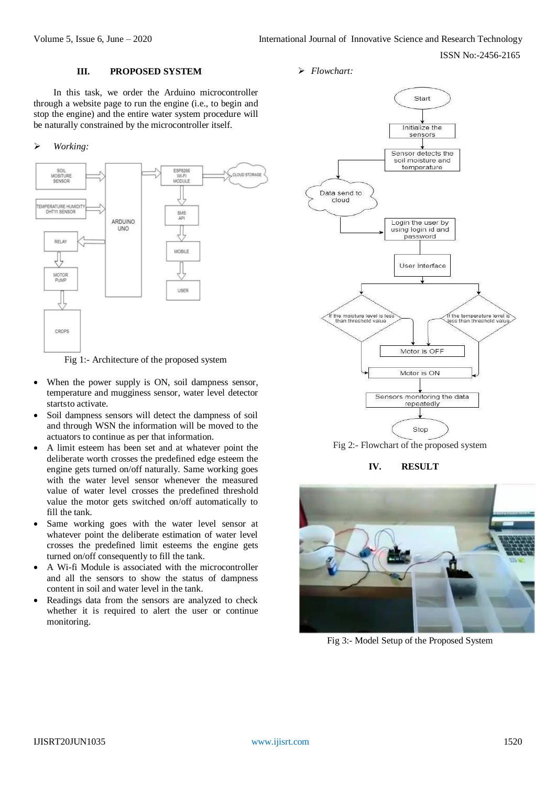#### **III. PROPOSED SYSTEM**

In this task, we order the Arduino microcontroller through a website page to run the engine (i.e., to begin and stop the engine) and the entire water system procedure will be naturally constrained by the microcontroller itself.

#### *Working:*



Fig 1:- Architecture of the proposed system

- When the power supply is ON, soil dampness sensor, temperature and mugginess sensor, water level detector startsto activate.
- Soil dampness sensors will detect the dampness of soil and through WSN the information will be moved to the actuators to continue as per that information.
- A limit esteem has been set and at whatever point the deliberate worth crosses the predefined edge esteem the engine gets turned on/off naturally. Same working goes with the water level sensor whenever the measured value of water level crosses the predefined threshold value the motor gets switched on/off automatically to fill the tank.
- Same working goes with the water level sensor at whatever point the deliberate estimation of water level crosses the predefined limit esteems the engine gets turned on/off consequently to fill the tank.
- A Wi-fi Module is associated with the microcontroller and all the sensors to show the status of dampness content in soil and water level in the tank.
- Readings data from the sensors are analyzed to check whether it is required to alert the user or continue monitoring.

*Flowchart:*



Fig 2:- Flowchart of the proposed system

**IV. RESULT**



Fig 3:- Model Setup of the Proposed System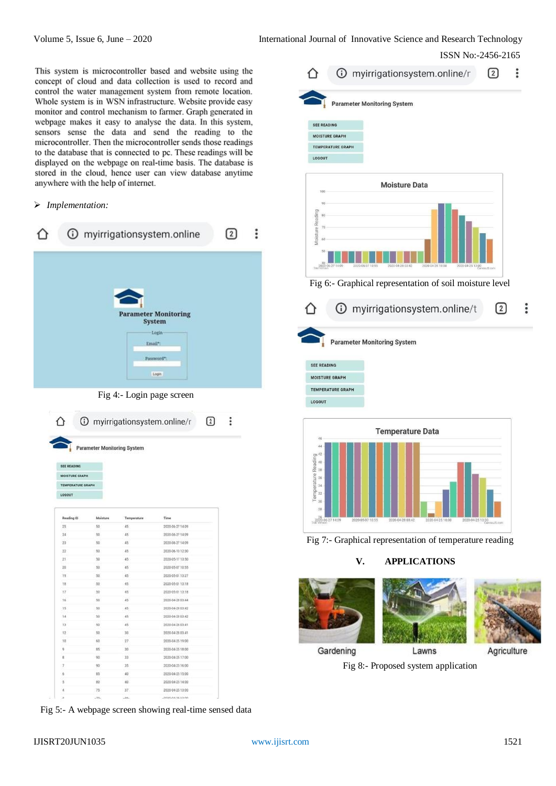This system is microcontroller based and website using the concept of cloud and data collection is used to record and control the water management system from remote location. Whole system is in WSN infrastructure. Website provide easy monitor and control mechanism to farmer. Graph generated in webpage makes it easy to analyse the data. In this system, sensors sense the data and send the reading to the microcontroller. Then the microcontroller sends those readings to the database that is connected to pc. These readings will be displayed on the webpage on real-time basis. The database is stored in the cloud, hence user can view database anytime anywhere with the help of internet.

#### *Implementation:*

|                                     |                                                   |             | 1 myirrigationsystem.online                                                             | $\overline{2}$ | ፧ |
|-------------------------------------|---------------------------------------------------|-------------|-----------------------------------------------------------------------------------------|----------------|---|
|                                     |                                                   |             | <b>Parameter Monitoring</b><br><b>System</b><br>Login<br>Email*:<br>Password*:<br>Login |                |   |
|                                     | <b>Parameter Monitoring System</b>                |             | Fig 4:- Login page screen<br>1 myirrigationsystem.online/r<br>☑                         | ፡              |   |
|                                     |                                                   |             |                                                                                         |                |   |
| <b>SEE READING</b><br><b>LOSOUT</b> | <b>MOISTURE GRAPH</b><br><b>TEMPERATURE GRAPH</b> |             |                                                                                         |                |   |
| <b>Reading ID</b>                   | Moisture                                          | Temperature | Time                                                                                    |                |   |
| 25                                  | 50                                                | 45          | 2020-06-27 14:09                                                                        |                |   |
| 74                                  | 50                                                | 45          | 2020-06-27 14:09                                                                        |                |   |
| 23                                  | 50                                                | 45          | 2020-06-27 14:09                                                                        |                |   |
| 22                                  | 50                                                | 45          | 2020-06-10 12:30                                                                        |                |   |
| 21                                  | 10                                                | 45          | 2020-05-17 13:50                                                                        |                |   |
| 20                                  | $\frac{1}{20}$                                    | $\ddot{a}$  | 2020-05-07 10:55                                                                        |                |   |
| 'n                                  | 50                                                | 45          | 2020-05-01 13:27                                                                        |                |   |
| TB                                  | 50                                                | 45          | 2020-05-01 13:18                                                                        |                |   |
| 17                                  | 30 <sub>0</sub>                                   | 45          | 2020-05-01 13:18                                                                        |                |   |
| $16$                                | 30                                                | 45          | 2020-04-28 03:44                                                                        |                |   |
| 15                                  | 10                                                | 45          | 2020-04-28 03:42                                                                        |                |   |
| 14                                  | 50                                                | 45          | 2020-04-28 03:42                                                                        |                |   |
| 13                                  | 50                                                | 45          | 2020-04-28 03:41                                                                        |                |   |
| 12                                  | 10                                                | 30          | 2020/04/28 03:41                                                                        |                |   |
| jø                                  | 60                                                | 27          | 2020-04-25 19:00                                                                        |                |   |
| 5                                   | 85                                                | 30          | 2030-04-25 18:00                                                                        |                |   |
| ×                                   | 10                                                | 33          | 2020-04-25 17:00                                                                        |                |   |
| 7                                   | 90                                                | 35          | 2020-04-25 16:00                                                                        |                |   |
| 6                                   | 85                                                | 40          | 2020-04-25 15:00                                                                        |                |   |
| š<br>à                              | 80<br>75                                          | 40<br>37    | 2020-04-25 14:00<br>2020-04:25 13:00                                                    |                |   |

Fig 5:- A webpage screen showing real-time sensed data

| <b>SEE READING</b>                                | <b>Parameter Monitoring System</b>                                           |                |
|---------------------------------------------------|------------------------------------------------------------------------------|----------------|
| <b>MOISTURE GRAPH</b>                             |                                                                              |                |
| <b>TEMPERATURE GRAPH</b>                          |                                                                              |                |
| LOGOUT                                            |                                                                              |                |
| 100                                               | <b>Moisture Data</b>                                                         |                |
| 90                                                |                                                                              |                |
| 80                                                |                                                                              |                |
| Moisture Reading<br>70                            |                                                                              |                |
| 60                                                |                                                                              |                |
|                                                   |                                                                              |                |
| 50                                                |                                                                              |                |
| 40<br>2020-06-27 14:09                            | 2020-05-07 10:55<br>2020-04-28 03:42<br>2020-04-25 18:00<br>2020-04-25 13:00 |                |
|                                                   |                                                                              |                |
|                                                   | Fig 6:- Graphical representation of soil moisture level                      |                |
|                                                   |                                                                              |                |
|                                                   | 1/O myirrigationsystem.online                                                | $\overline{2}$ |
|                                                   |                                                                              |                |
|                                                   | <b>Parameter Monitoring System</b>                                           |                |
|                                                   |                                                                              |                |
|                                                   |                                                                              |                |
| <b>MOISTURE GRAPH</b><br><b>TEMPERATURE GRAPH</b> |                                                                              |                |
| <b>SEE READING</b>                                |                                                                              |                |





# **V. APPLICATIONS**





Gardening

Lawns

Agriculture

Fig 8:- Proposed system application